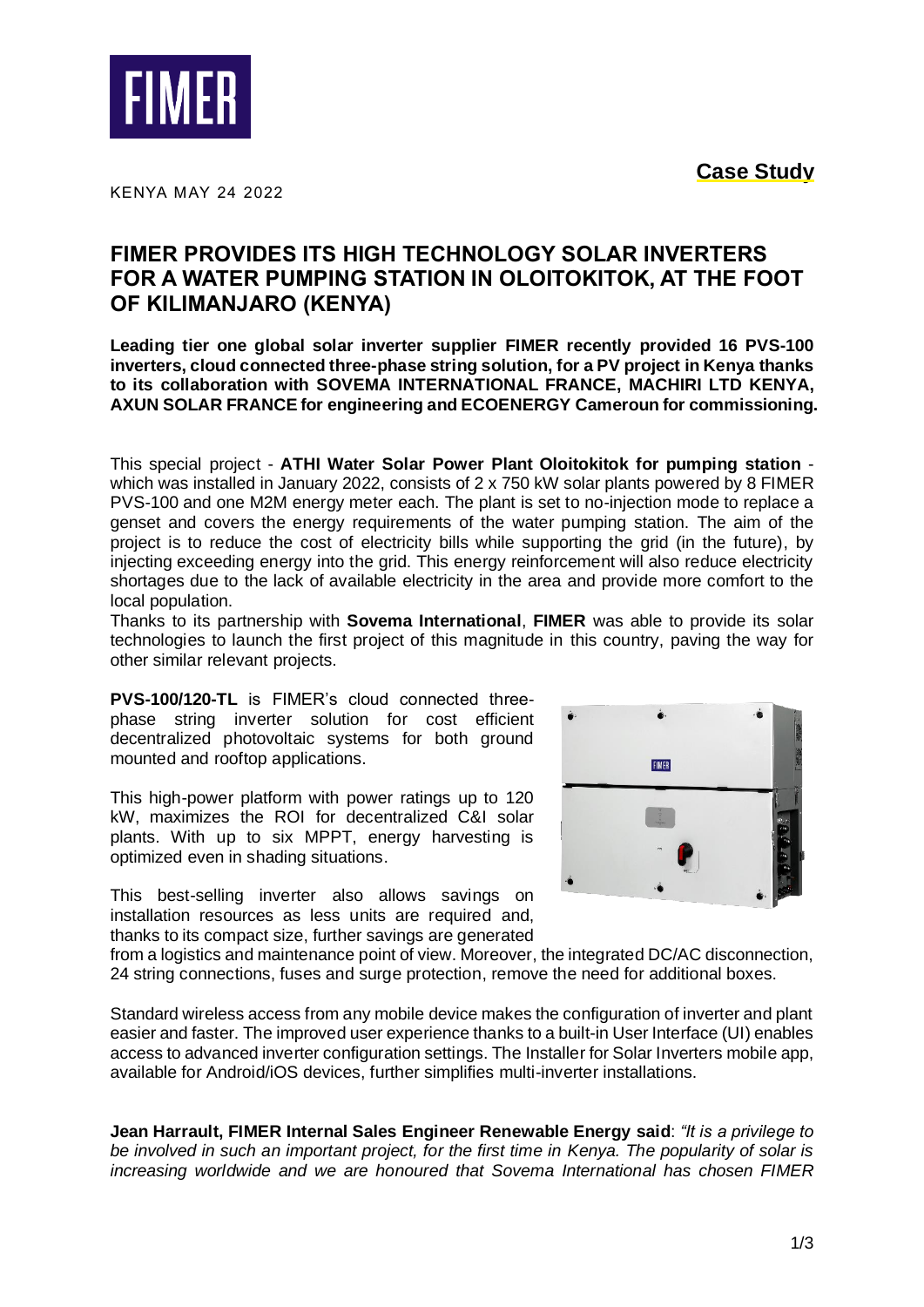**Case Study**



KENYA MAY 24 2022

## **FIMER PROVIDES ITS HIGH TECHNOLOGY SOLAR INVERTERS FOR A WATER PUMPING STATION IN OLOITOKITOK, AT THE FOOT OF KILIMANJARO (KENYA)**

**Leading tier one global solar inverter supplier FIMER recently provided 16 PVS-100 inverters, cloud connected three-phase string solution, for a PV project in Kenya thanks to its collaboration with SOVEMA INTERNATIONAL FRANCE, MACHIRI LTD KENYA, AXUN SOLAR FRANCE for engineering and ECOENERGY Cameroun for commissioning.**

This special project - **ATHI Water Solar Power Plant Oloitokitok for pumping station** which was installed in January 2022, consists of 2 x 750 kW solar plants powered by 8 FIMER PVS-100 and one M2M energy meter each. The plant is set to no-injection mode to replace a genset and covers the energy requirements of the water pumping station. The aim of the project is to reduce the cost of electricity bills while supporting the grid (in the future), by injecting exceeding energy into the grid. This energy reinforcement will also reduce electricity shortages due to the lack of available electricity in the area and provide more comfort to the local population.

Thanks to its partnership with **Sovema International**, **FIMER** was able to provide its solar technologies to launch the first project of this magnitude in this country, paving the way for other similar relevant projects.

**PVS-100/120-TL** is FIMER's cloud connected threephase string inverter solution for cost efficient decentralized photovoltaic systems for both ground mounted and rooftop applications.

This high-power platform with power ratings up to 120 kW, maximizes the ROI for decentralized C&I solar plants. With up to six MPPT, energy harvesting is optimized even in shading situations.

This best-selling inverter also allows savings on installation resources as less units are required and, thanks to its compact size, further savings are generated



from a logistics and maintenance point of view. Moreover, the integrated DC/AC disconnection, 24 string connections, fuses and surge protection, remove the need for additional boxes.

Standard wireless access from any mobile device makes the configuration of inverter and plant easier and faster. The improved user experience thanks to a built-in User Interface (UI) enables access to advanced inverter configuration settings. The Installer for Solar Inverters mobile app, available for Android/iOS devices, further simplifies multi-inverter installations.

**Jean Harrault, FIMER Internal Sales Engineer Renewable Energy said**: *"It is a privilege to be involved in such an important project, for the first time in Kenya. The popularity of solar is increasing worldwide and we are honoured that Sovema International has chosen FIMER*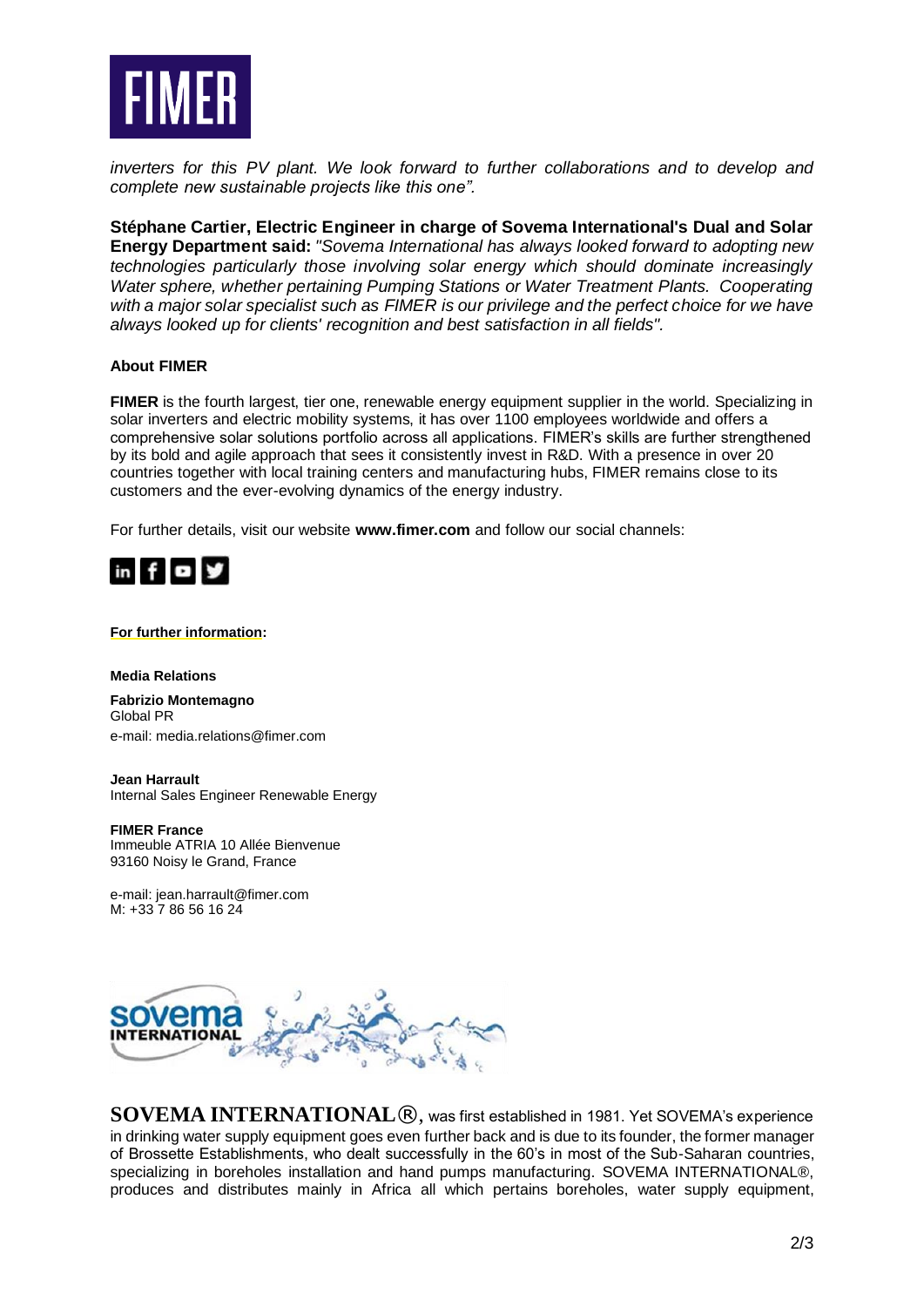

*inverters for this PV plant. We look forward to further collaborations and to develop and complete new sustainable projects like this one".*

**Stéphane Cartier, Electric Engineer in charge of Sovema International's Dual and Solar Energy Department said:** *"Sovema International has always looked forward to adopting new technologies particularly those involving solar energy which should dominate increasingly Water sphere, whether pertaining Pumping Stations or Water Treatment Plants. Cooperating with a major solar specialist such as FIMER is our privilege and the perfect choice for we have always looked up for clients' recognition and best satisfaction in all fields".*

## **About FIMER**

**FIMER** is the fourth largest, tier one, renewable energy equipment supplier in the world. Specializing in solar inverters and electric mobility systems, it has over 1100 employees worldwide and offers a comprehensive solar solutions portfolio across all applications. FIMER's skills are further strengthened by its bold and agile approach that sees it consistently invest in R&D. With a presence in over 20 countries together with local training centers and manufacturing hubs, FIMER remains close to its customers and the ever-evolving dynamics of the energy industry.

For further details, visit our website **[www.fimer.com](https://eur01.safelinks.protection.outlook.com/?url=http%3A%2F%2Fwww.fimer.com%2F&data=04%7C01%7Cjessica.meyer%40fimer.com%7C4fd762e5157046b1856e08d8de2b233b%7Cb7e8ee5e7dfb42b19e1417c8e364fd68%7C0%7C0%7C637503624147691328%7CUnknown%7CTWFpbGZsb3d8eyJWIjoiMC4wLjAwMDAiLCJQIjoiV2luMzIiLCJBTiI6Ik1haWwiLCJXVCI6Mn0%3D%7C1000&sdata=RcxOao8CJr%2BGP46OQLvoYKBOUFeIGhzpZsvpYooKnHY%3D&reserved=0)** and follow our social channels:



## **For further information:**

**Media Relations**

**Fabrizio Montemagno** Global PR e-mail[: media.relations@fimer.com](mailto:media.relations@fimer.com)

**Jean Harrault** Internal Sales Engineer Renewable Energy

**FIMER France** Immeuble ATRIA 10 Allée Bienvenue 93160 Noisy le Grand, France

e-mail[: jean.harrault@fimer.com](mailto:jean.harrault@fimer.com) M: +33 7 86 56 16 24



**SOVEMA INTERNATIONAL**®, was first established in 1981. Yet SOVEMA's experience in drinking water supply equipment goes even further back and is due to its founder, the former manager of Brossette Establishments, who dealt successfully in the 60's in most of the Sub-Saharan countries, specializing in boreholes installation and hand pumps manufacturing. SOVEMA INTERNATIONAL®, produces and distributes mainly in Africa all which pertains boreholes, water supply equipment,